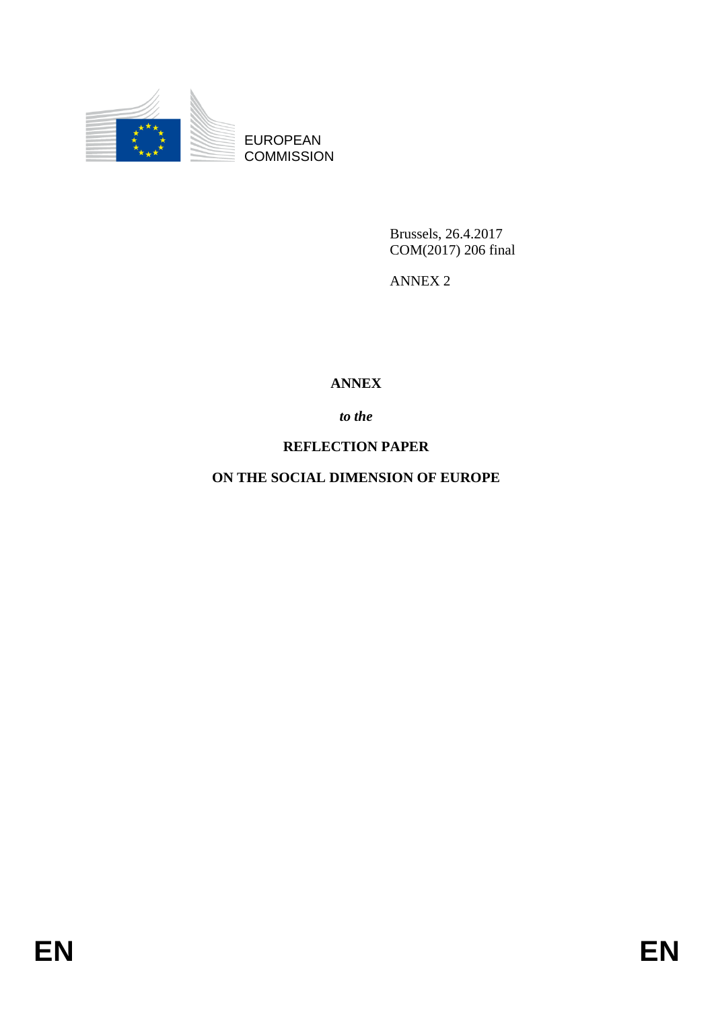

EUROPEAN **COMMISSION** 

> Brussels, 26.4.2017 COM(2017) 206 final

ANNEX 2

## **ANNEX**

## *to the*

## **REFLECTION PAPER**

**ON THE SOCIAL DIMENSION OF EUROPE**